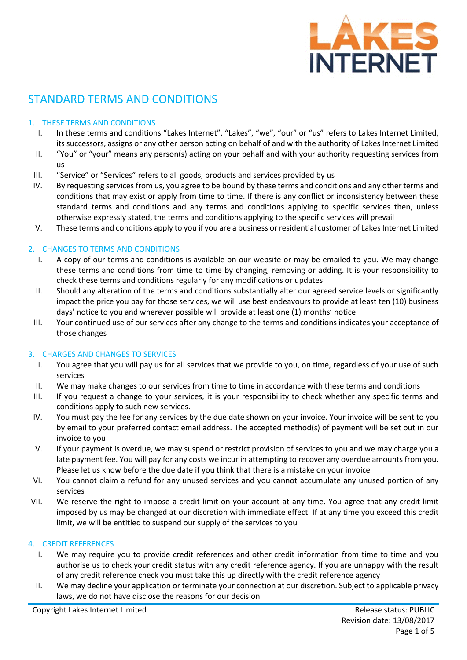

# STANDARD TERMS AND CONDITIONS

# 1. THESE TERMS AND CONDITIONS

- I. In these terms and conditions "Lakes Internet", "Lakes", "we", "our" or "us" refers to Lakes Internet Limited, its successors, assigns or any other person acting on behalf of and with the authority of Lakes Internet Limited
- II. "You" or "your" means any person(s) acting on your behalf and with your authority requesting services from us
- III. "Service" or "Services" refers to all goods, products and services provided by us
- IV. By requesting services from us, you agree to be bound by these terms and conditions and any other terms and conditions that may exist or apply from time to time. If there is any conflict or inconsistency between these standard terms and conditions and any terms and conditions applying to specific services then, unless otherwise expressly stated, the terms and conditions applying to the specific services will prevail
- V. These terms and conditions apply to you if you are a business or residential customer of Lakes Internet Limited

## 2. CHANGES TO TERMS AND CONDITIONS

- I. A copy of our terms and conditions is available on our website or may be emailed to you. We may change these terms and conditions from time to time by changing, removing or adding. It is your responsibility to check these terms and conditions regularly for any modifications or updates
- II. Should any alteration of the terms and conditions substantially alter our agreed service levels or significantly impact the price you pay for those services, we will use best endeavours to provide at least ten (10) business days' notice to you and wherever possible will provide at least one (1) months' notice
- III. Your continued use of our services after any change to the terms and conditions indicates your acceptance of those changes

## 3. CHARGES AND CHANGES TO SERVICES

- I. You agree that you will pay us for all services that we provide to you, on time, regardless of your use of such services
- II. We may make changes to our services from time to time in accordance with these terms and conditions
- III. If you request a change to your services, it is your responsibility to check whether any specific terms and conditions apply to such new services.
- IV. You must pay the fee for any services by the due date shown on your invoice. Your invoice will be sent to you by email to your preferred contact email address. The accepted method(s) of payment will be set out in our invoice to you
- V. If your payment is overdue, we may suspend or restrict provision of services to you and we may charge you a late payment fee. You will pay for any costs we incur in attempting to recover any overdue amounts from you. Please let us know before the due date if you think that there is a mistake on your invoice
- VI. You cannot claim a refund for any unused services and you cannot accumulate any unused portion of any services
- VII. We reserve the right to impose a credit limit on your account at any time. You agree that any credit limit imposed by us may be changed at our discretion with immediate effect. If at any time you exceed this credit limit, we will be entitled to suspend our supply of the services to you

#### 4. CREDIT REFERENCES

- I. We may require you to provide credit references and other credit information from time to time and you authorise us to check your credit status with any credit reference agency. If you are unhappy with the result of any credit reference check you must take this up directly with the credit reference agency
- II. We may decline your application or terminate your connection at our discretion. Subject to applicable privacy laws, we do not have disclose the reasons for our decision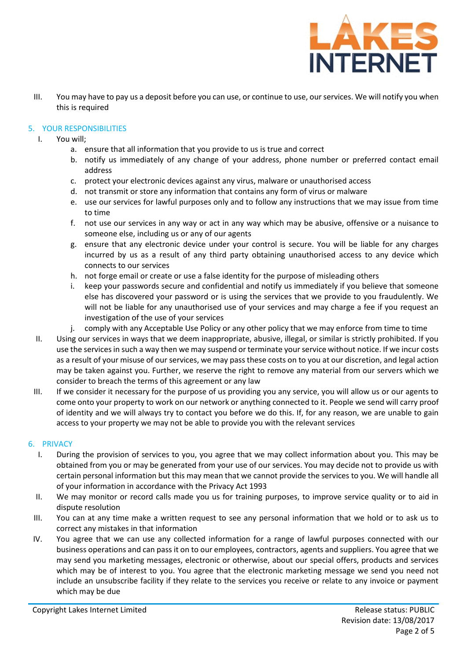

III. You may have to pay us a deposit before you can use, or continue to use, our services. We will notify you when this is required

## 5. YOUR RESPONSIBILITIES

- I. You will;
	- a. ensure that all information that you provide to us is true and correct
	- b. notify us immediately of any change of your address, phone number or preferred contact email address
	- c. protect your electronic devices against any virus, malware or unauthorised access
	- d. not transmit or store any information that contains any form of virus or malware
	- e. use our services for lawful purposes only and to follow any instructions that we may issue from time to time
	- f. not use our services in any way or act in any way which may be abusive, offensive or a nuisance to someone else, including us or any of our agents
	- g. ensure that any electronic device under your control is secure. You will be liable for any charges incurred by us as a result of any third party obtaining unauthorised access to any device which connects to our services
	- h. not forge email or create or use a false identity for the purpose of misleading others
	- i. keep your passwords secure and confidential and notify us immediately if you believe that someone else has discovered your password or is using the services that we provide to you fraudulently. We will not be liable for any unauthorised use of your services and may charge a fee if you request an investigation of the use of your services
	- j. comply with any Acceptable Use Policy or any other policy that we may enforce from time to time
- II. Using our services in ways that we deem inappropriate, abusive, illegal, or similar is strictly prohibited. If you use the services in such a way then we may suspend or terminate your service without notice. If we incur costs as a result of your misuse of our services, we may pass these costs on to you at our discretion, and legal action may be taken against you. Further, we reserve the right to remove any material from our servers which we consider to breach the terms of this agreement or any law
- III. If we consider it necessary for the purpose of us providing you any service, you will allow us or our agents to come onto your property to work on our network or anything connected to it. People we send will carry proof of identity and we will always try to contact you before we do this. If, for any reason, we are unable to gain access to your property we may not be able to provide you with the relevant services

#### 6. PRIVACY

- I. During the provision of services to you, you agree that we may collect information about you. This may be obtained from you or may be generated from your use of our services. You may decide not to provide us with certain personal information but this may mean that we cannot provide the services to you. We will handle all of your information in accordance with the Privacy Act 1993
- II. We may monitor or record calls made you us for training purposes, to improve service quality or to aid in dispute resolution
- III. You can at any time make a written request to see any personal information that we hold or to ask us to correct any mistakes in that information
- IV. You agree that we can use any collected information for a range of lawful purposes connected with our business operations and can pass it on to our employees, contractors, agents and suppliers. You agree that we may send you marketing messages, electronic or otherwise, about our special offers, products and services which may be of interest to you. You agree that the electronic marketing message we send you need not include an unsubscribe facility if they relate to the services you receive or relate to any invoice or payment which may be due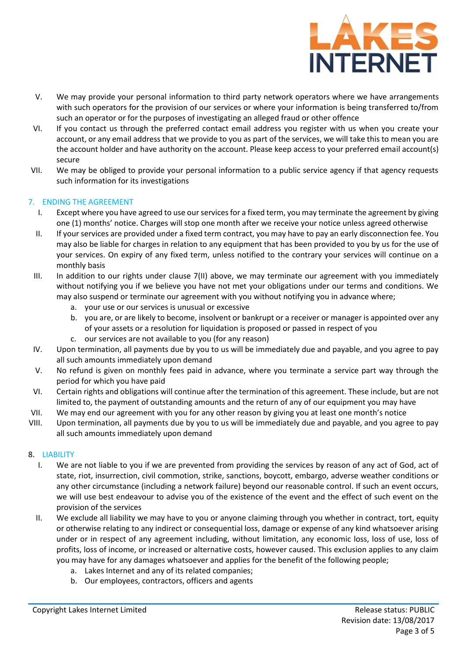

- V. We may provide your personal information to third party network operators where we have arrangements with such operators for the provision of our services or where your information is being transferred to/from such an operator or for the purposes of investigating an alleged fraud or other offence
- VI. If you contact us through the preferred contact email address you register with us when you create your account, or any email address that we provide to you as part of the services, we will take this to mean you are the account holder and have authority on the account. Please keep access to your preferred email account(s) secure
- VII. We may be obliged to provide your personal information to a public service agency if that agency requests such information for its investigations

## 7. ENDING THE AGREEMENT

- I. Except where you have agreed to use our services for a fixed term, you may terminate the agreement by giving one (1) months' notice. Charges will stop one month after we receive your notice unless agreed otherwise
- II. If your services are provided under a fixed term contract, you may have to pay an early disconnection fee. You may also be liable for charges in relation to any equipment that has been provided to you by us for the use of your services. On expiry of any fixed term, unless notified to the contrary your services will continue on a monthly basis
- III. In addition to our rights under clause 7(II) above, we may terminate our agreement with you immediately without notifying you if we believe you have not met your obligations under our terms and conditions. We may also suspend or terminate our agreement with you without notifying you in advance where;
	- a. your use or our services is unusual or excessive
	- b. you are, or are likely to become, insolvent or bankrupt or a receiver or manager is appointed over any of your assets or a resolution for liquidation is proposed or passed in respect of you
	- c. our services are not available to you (for any reason)
- IV. Upon termination, all payments due by you to us will be immediately due and payable, and you agree to pay all such amounts immediately upon demand
- V. No refund is given on monthly fees paid in advance, where you terminate a service part way through the period for which you have paid
- VI. Certain rights and obligations will continue after the termination of this agreement. These include, but are not limited to, the payment of outstanding amounts and the return of any of our equipment you may have
- VII. We may end our agreement with you for any other reason by giving you at least one month's notice
- VIII. Upon termination, all payments due by you to us will be immediately due and payable, and you agree to pay all such amounts immediately upon demand

#### 8. LIABILITY

- I. We are not liable to you if we are prevented from providing the services by reason of any act of God, act of state, riot, insurrection, civil commotion, strike, sanctions, boycott, embargo, adverse weather conditions or any other circumstance (including a network failure) beyond our reasonable control. If such an event occurs, we will use best endeavour to advise you of the existence of the event and the effect of such event on the provision of the services
- II. We exclude all liability we may have to you or anyone claiming through you whether in contract, tort, equity or otherwise relating to any indirect or consequential loss, damage or expense of any kind whatsoever arising under or in respect of any agreement including, without limitation, any economic loss, loss of use, loss of profits, loss of income, or increased or alternative costs, however caused. This exclusion applies to any claim you may have for any damages whatsoever and applies for the benefit of the following people;
	- a. Lakes Internet and any of its related companies;
	- b. Our employees, contractors, officers and agents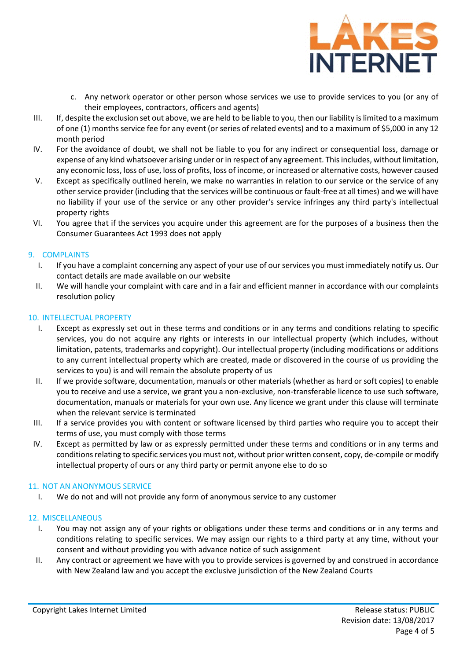

- c. Any network operator or other person whose services we use to provide services to you (or any of their employees, contractors, officers and agents)
- III. If, despite the exclusion set out above, we are held to be liable to you, then our liability is limited to a maximum of one (1) months service fee for any event (or series of related events) and to a maximum of \$5,000 in any 12 month period
- IV. For the avoidance of doubt, we shall not be liable to you for any indirect or consequential loss, damage or expense of any kind whatsoever arising under or in respect of any agreement. This includes, without limitation, any economic loss, loss of use, loss of profits, loss of income, or increased or alternative costs, however caused
- V. Except as specifically outlined herein, we make no warranties in relation to our service or the service of any other service provider (including that the services will be continuous or fault-free at all times) and we will have no liability if your use of the service or any other provider's service infringes any third party's intellectual property rights
- VI. You agree that if the services you acquire under this agreement are for the purposes of a business then the Consumer Guarantees Act 1993 does not apply

## 9. COMPLAINTS

- I. If you have a complaint concerning any aspect of your use of our services you must immediately notify us. Our contact details are made available on our website
- II. We will handle your complaint with care and in a fair and efficient manner in accordance with our complaints resolution policy

## 10. INTELLECTUAL PROPERTY

- I. Except as expressly set out in these terms and conditions or in any terms and conditions relating to specific services, you do not acquire any rights or interests in our intellectual property (which includes, without limitation, patents, trademarks and copyright). Our intellectual property (including modifications or additions to any current intellectual property which are created, made or discovered in the course of us providing the services to you) is and will remain the absolute property of us
- II. If we provide software, documentation, manuals or other materials (whether as hard or soft copies) to enable you to receive and use a service, we grant you a non-exclusive, non-transferable licence to use such software, documentation, manuals or materials for your own use. Any licence we grant under this clause will terminate when the relevant service is terminated
- III. If a service provides you with content or software licensed by third parties who require you to accept their terms of use, you must comply with those terms
- IV. Except as permitted by law or as expressly permitted under these terms and conditions or in any terms and conditions relating to specific services you must not, without prior written consent, copy, de-compile or modify intellectual property of ours or any third party or permit anyone else to do so

#### 11. NOT AN ANONYMOUS SERVICE

I. We do not and will not provide any form of anonymous service to any customer

#### 12. MISCELLANEOUS

- I. You may not assign any of your rights or obligations under these terms and conditions or in any terms and conditions relating to specific services. We may assign our rights to a third party at any time, without your consent and without providing you with advance notice of such assignment
- II. Any contract or agreement we have with you to provide services is governed by and construed in accordance with New Zealand law and you accept the exclusive jurisdiction of the New Zealand Courts